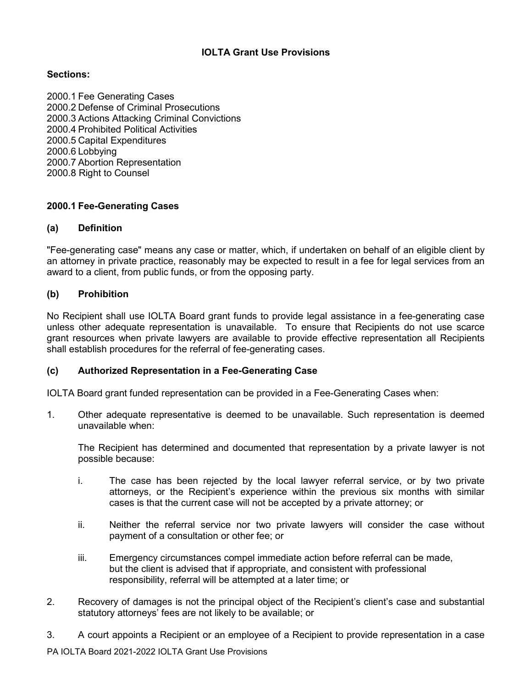# **IOLTA Grant Use Provisions**

# **Sections:**

2000.1 Fee Generating Cases 2000.2 Defense of Criminal Prosecutions 2000.3 Actions Attacking Criminal Convictions 2000.4 Prohibited Political Activities 2000.5 Capital Expenditures 2000.6 Lobbying 2000.7 Abortion Representation 2000.8 Right to Counsel

## **2000.1 Fee-Generating Cases**

#### **(a) Definition**

"Fee-generating case" means any case or matter, which, if undertaken on behalf of an eligible client by an attorney in private practice, reasonably may be expected to result in a fee for legal services from an award to a client, from public funds, or from the opposing party.

### **(b) Prohibition**

No Recipient shall use IOLTA Board grant funds to provide legal assistance in a fee-generating case unless other adequate representation is unavailable. To ensure that Recipients do not use scarce grant resources when private lawyers are available to provide effective representation all Recipients shall establish procedures for the referral of fee-generating cases.

#### **(c) Authorized Representation in a Fee-Generating Case**

IOLTA Board grant funded representation can be provided in a Fee-Generating Cases when:

1. Other adequate representative is deemed to be unavailable. Such representation is deemed unavailable when:

The Recipient has determined and documented that representation by a private lawyer is not possible because:

- i. The case has been rejected by the local lawyer referral service, or by two private attorneys, or the Recipient's experience within the previous six months with similar cases is that the current case will not be accepted by a private attorney; or
- ii. Neither the referral service nor two private lawyers will consider the case without payment of a consultation or other fee; or
- iii. Emergency circumstances compel immediate action before referral can be made, but the client is advised that if appropriate, and consistent with professional responsibility, referral will be attempted at a later time; or
- 2. Recovery of damages is not the principal object of the Recipient's client's case and substantial statutory attorneys' fees are not likely to be available; or
- 3. A court appoints a Recipient or an employee of a Recipient to provide representation in a case

PA IOLTA Board 2021-2022 IOLTA Grant Use Provisions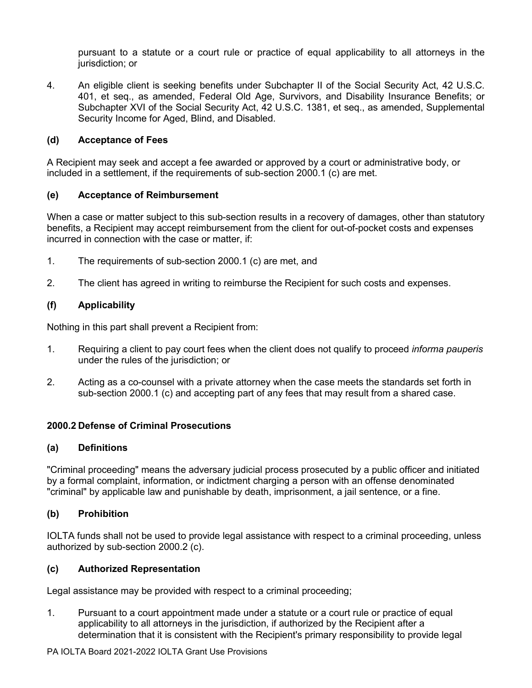pursuant to a statute or a court rule or practice of equal applicability to all attorneys in the jurisdiction; or

4. An eligible client is seeking benefits under Subchapter II of the Social Security Act, 42 U.S.C. 401, et seq., as amended, Federal Old Age, Survivors, and Disability Insurance Benefits; or Subchapter XVI of the Social Security Act, 42 U.S.C. 1381, et seq., as amended, Supplemental Security Income for Aged, Blind, and Disabled.

## **(d) Acceptance of Fees**

A Recipient may seek and accept a fee awarded or approved by a court or administrative body, or included in a settlement, if the requirements of sub-section 2000.1 (c) are met.

## **(e) Acceptance of Reimbursement**

When a case or matter subject to this sub-section results in a recovery of damages, other than statutory benefits, a Recipient may accept reimbursement from the client for out-of-pocket costs and expenses incurred in connection with the case or matter, if:

- 1. The requirements of sub-section 2000.1 (c) are met, and
- 2. The client has agreed in writing to reimburse the Recipient for such costs and expenses.

## **(f) Applicability**

Nothing in this part shall prevent a Recipient from:

- 1. Requiring a client to pay court fees when the client does not qualify to proceed *informa pauperis* under the rules of the jurisdiction; or
- 2. Acting as a co-counsel with a private attorney when the case meets the standards set forth in sub-section 2000.1 (c) and accepting part of any fees that may result from a shared case.

## **2000.2 Defense of Criminal Prosecutions**

#### **(a) Definitions**

"Criminal proceeding" means the adversary judicial process prosecuted by a public officer and initiated by a formal complaint, information, or indictment charging a person with an offense denominated "criminal" by applicable law and punishable by death, imprisonment, a jail sentence, or a fine.

#### **(b) Prohibition**

IOLTA funds shall not be used to provide legal assistance with respect to a criminal proceeding, unless authorized by sub-section 2000.2 (c).

## **(c) Authorized Representation**

Legal assistance may be provided with respect to a criminal proceeding;

1. Pursuant to a court appointment made under a statute or a court rule or practice of equal applicability to all attorneys in the jurisdiction, if authorized by the Recipient after a determination that it is consistent with the Recipient's primary responsibility to provide legal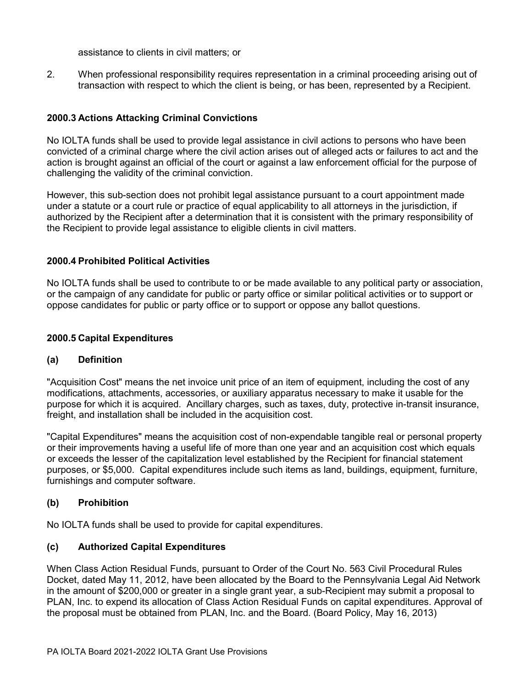assistance to clients in civil matters; or

2. When professional responsibility requires representation in a criminal proceeding arising out of transaction with respect to which the client is being, or has been, represented by a Recipient.

# **2000.3 Actions Attacking Criminal Convictions**

No IOLTA funds shall be used to provide legal assistance in civil actions to persons who have been convicted of a criminal charge where the civil action arises out of alleged acts or failures to act and the action is brought against an official of the court or against a law enforcement official for the purpose of challenging the validity of the criminal conviction.

However, this sub-section does not prohibit legal assistance pursuant to a court appointment made under a statute or a court rule or practice of equal applicability to all attorneys in the jurisdiction, if authorized by the Recipient after a determination that it is consistent with the primary responsibility of the Recipient to provide legal assistance to eligible clients in civil matters.

### **2000.4 Prohibited Political Activities**

No IOLTA funds shall be used to contribute to or be made available to any political party or association, or the campaign of any candidate for public or party office or similar political activities or to support or oppose candidates for public or party office or to support or oppose any ballot questions.

#### **2000.5 Capital Expenditures**

#### **(a) Definition**

"Acquisition Cost" means the net invoice unit price of an item of equipment, including the cost of any modifications, attachments, accessories, or auxiliary apparatus necessary to make it usable for the purpose for which it is acquired. Ancillary charges, such as taxes, duty, protective in-transit insurance, freight, and installation shall be included in the acquisition cost.

"Capital Expenditures" means the acquisition cost of non-expendable tangible real or personal property or their improvements having a useful life of more than one year and an acquisition cost which equals or exceeds the lesser of the capitalization level established by the Recipient for financial statement purposes, or \$5,000. Capital expenditures include such items as land, buildings, equipment, furniture, furnishings and computer software.

## **(b) Prohibition**

No IOLTA funds shall be used to provide for capital expenditures.

## **(c) Authorized Capital Expenditures**

When Class Action Residual Funds, pursuant to Order of the Court No. 563 Civil Procedural Rules Docket, dated May 11, 2012, have been allocated by the Board to the Pennsylvania Legal Aid Network in the amount of \$200,000 or greater in a single grant year, a sub-Recipient may submit a proposal to PLAN, Inc. to expend its allocation of Class Action Residual Funds on capital expenditures. Approval of the proposal must be obtained from PLAN, Inc. and the Board. (Board Policy, May 16, 2013)